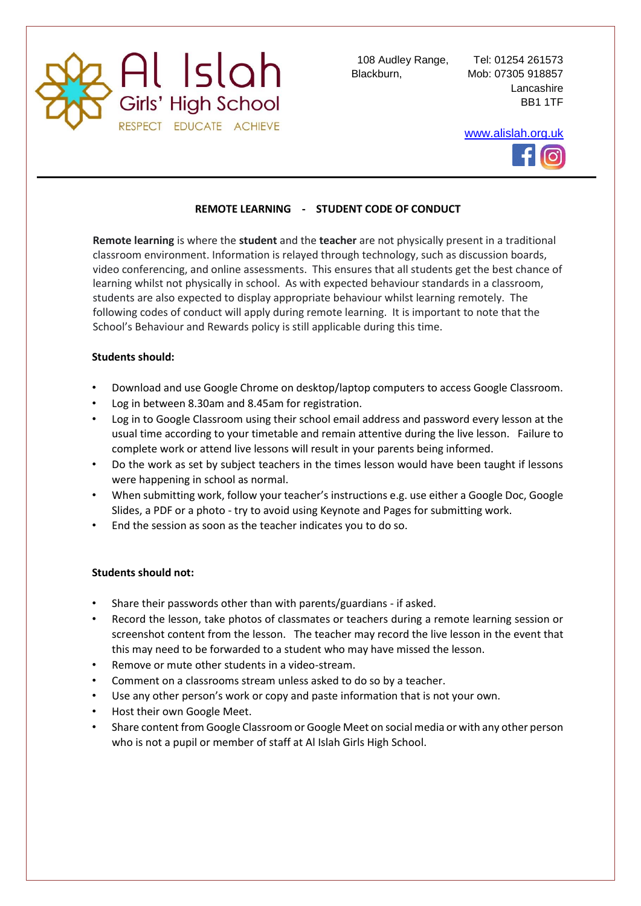

Blackburn, Mob: 07305 918857

108 Audley Range, Tel: 01254 261573 Lancashire BB1 1TF

[www.alislah.org.uk](http://www.alislah.org.uk/)



## **REMOTE LEARNING - STUDENT CODE OF CONDUCT**

**Remote learning** is where the **student** and the **teacher** are not physically present in a traditional classroom environment. Information is relayed through technology, such as discussion boards, video conferencing, and online assessments. This ensures that all students get the best chance of learning whilst not physically in school. As with expected behaviour standards in a classroom, students are also expected to display appropriate behaviour whilst learning remotely. The following codes of conduct will apply during remote learning. It is important to note that the School's Behaviour and Rewards policy is still applicable during this time.

## **Students should:**

- Download and use Google Chrome on desktop/laptop computers to access Google Classroom.
- Log in between 8.30am and 8.45am for registration.
- Log in to Google Classroom using their school email address and password every lesson at the usual time according to your timetable and remain attentive during the live lesson. Failure to complete work or attend live lessons will result in your parents being informed.
- Do the work as set by subject teachers in the times lesson would have been taught if lessons were happening in school as normal.
- When submitting work, follow your teacher's instructions e.g. use either a Google Doc, Google Slides, a PDF or a photo - try to avoid using Keynote and Pages for submitting work.
- End the session as soon as the teacher indicates you to do so.

## **Students should not:**

- Share their passwords other than with parents/guardians if asked.
- Record the lesson, take photos of classmates or teachers during a remote learning session or screenshot content from the lesson. The teacher may record the live lesson in the event that this may need to be forwarded to a student who may have missed the lesson.
- Remove or mute other students in a video-stream.
- Comment on a classrooms stream unless asked to do so by a teacher.
- Use any other person's work or copy and paste information that is not your own.
- Host their own Google Meet.
- Share content from Google Classroom or Google Meet on social media or with any other person who is not a pupil or member of staff at Al Islah Girls High School.